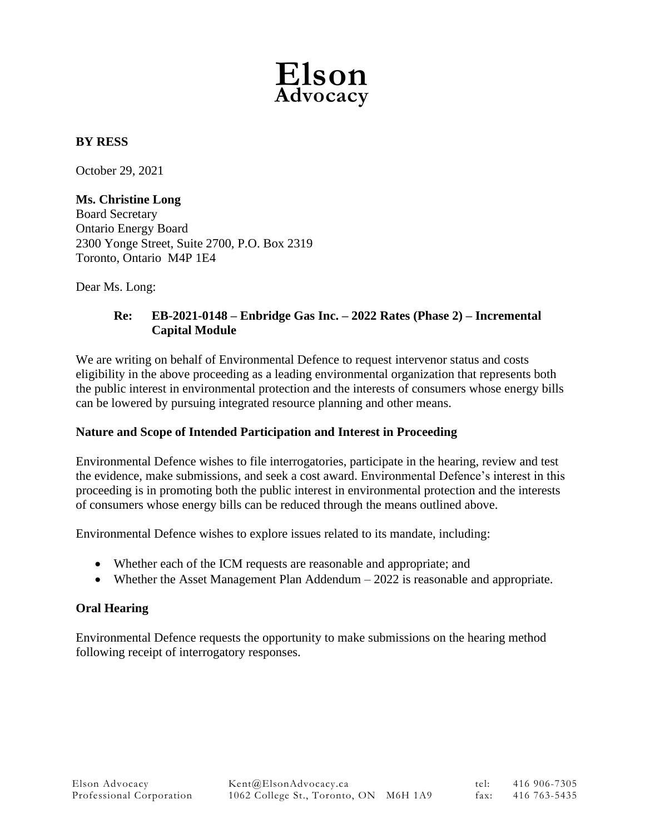

## **BY RESS**

October 29, 2021

### **Ms. Christine Long**

Board Secretary Ontario Energy Board 2300 Yonge Street, Suite 2700, P.O. Box 2319 Toronto, Ontario M4P 1E4

Dear Ms. Long:

## **Re: EB-2021-0148 – Enbridge Gas Inc. – 2022 Rates (Phase 2) – Incremental Capital Module**

We are writing on behalf of Environmental Defence to request intervenor status and costs eligibility in the above proceeding as a leading environmental organization that represents both the public interest in environmental protection and the interests of consumers whose energy bills can be lowered by pursuing integrated resource planning and other means.

### **Nature and Scope of Intended Participation and Interest in Proceeding**

Environmental Defence wishes to file interrogatories, participate in the hearing, review and test the evidence, make submissions, and seek a cost award. Environmental Defence's interest in this proceeding is in promoting both the public interest in environmental protection and the interests of consumers whose energy bills can be reduced through the means outlined above.

Environmental Defence wishes to explore issues related to its mandate, including:

- Whether each of the ICM requests are reasonable and appropriate; and
- Whether the Asset Management Plan Addendum 2022 is reasonable and appropriate.

### **Oral Hearing**

Environmental Defence requests the opportunity to make submissions on the hearing method following receipt of interrogatory responses.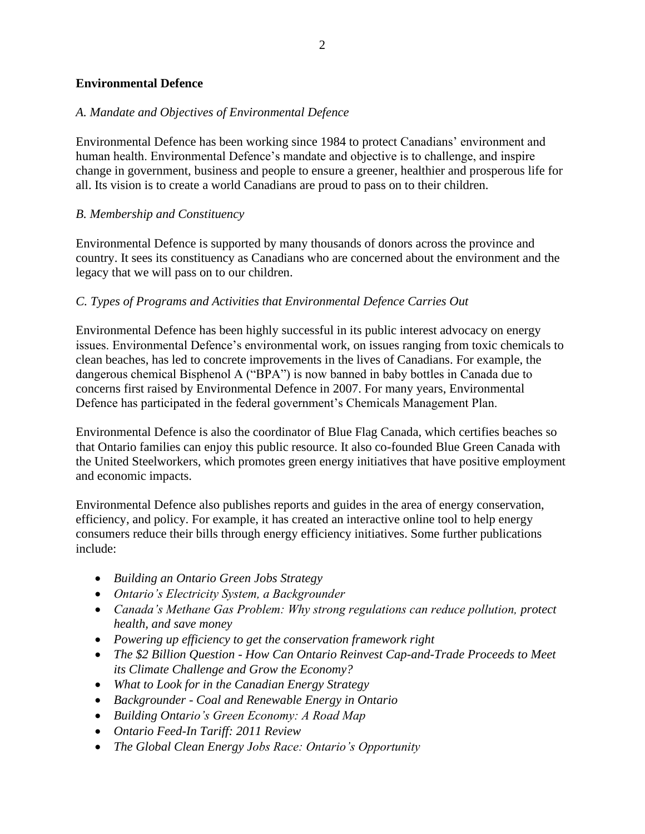### **Environmental Defence**

### *A. Mandate and Objectives of Environmental Defence*

Environmental Defence has been working since 1984 to protect Canadians' environment and human health. Environmental Defence's mandate and objective is to challenge, and inspire change in government, business and people to ensure a greener, healthier and prosperous life for all. Its vision is to create a world Canadians are proud to pass on to their children.

### *B. Membership and Constituency*

Environmental Defence is supported by many thousands of donors across the province and country. It sees its constituency as Canadians who are concerned about the environment and the legacy that we will pass on to our children.

### *C. Types of Programs and Activities that Environmental Defence Carries Out*

Environmental Defence has been highly successful in its public interest advocacy on energy issues. Environmental Defence's environmental work, on issues ranging from toxic chemicals to clean beaches, has led to concrete improvements in the lives of Canadians. For example, the dangerous chemical Bisphenol A ("BPA") is now banned in baby bottles in Canada due to concerns first raised by Environmental Defence in 2007. For many years, Environmental Defence has participated in the federal government's Chemicals Management Plan.

Environmental Defence is also the coordinator of Blue Flag Canada, which certifies beaches so that Ontario families can enjoy this public resource. It also co-founded Blue Green Canada with the United Steelworkers, which promotes green energy initiatives that have positive employment and economic impacts.

Environmental Defence also publishes reports and guides in the area of energy conservation, efficiency, and policy. For example, it has created an interactive online tool to help energy consumers reduce their bills through energy efficiency initiatives. Some further publications include:

- *Building an Ontario Green Jobs Strategy*
- *Ontario's Electricity System, a Backgrounder*
- *Canada's Methane Gas Problem: Why strong regulations can reduce pollution, protect health, and save money*
- *Powering up efficiency to get the conservation framework right*
- *The \$2 Billion Question - How Can Ontario Reinvest Cap-and-Trade Proceeds to Meet its Climate Challenge and Grow the Economy?*
- *What to Look for in the Canadian Energy Strategy*
- *Backgrounder - Coal and Renewable Energy in Ontario*
- *Building Ontario's Green Economy: A Road Map*
- *Ontario Feed-In Tariff: 2011 Review*
- *The Global Clean Energy Jobs Race: Ontario's Opportunity*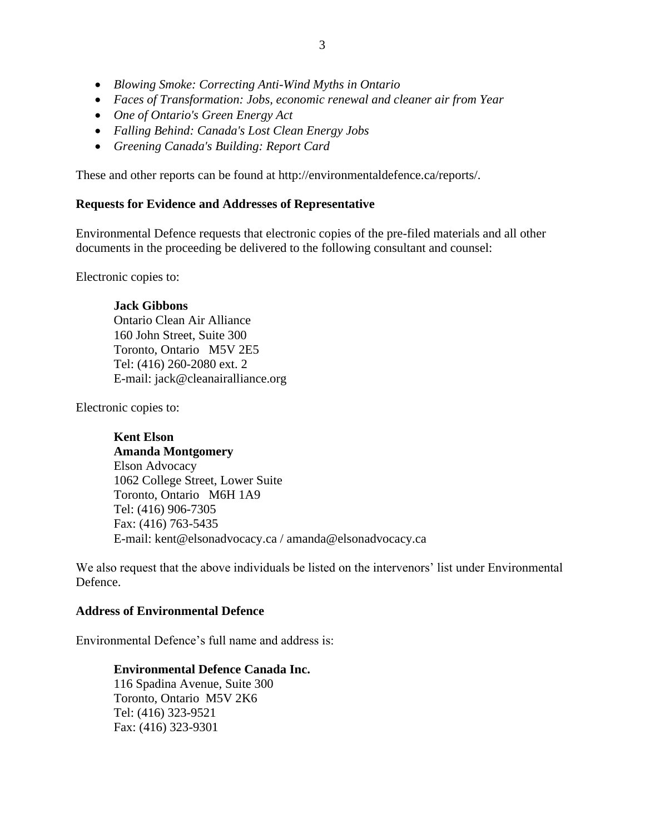- *Blowing Smoke: Correcting Anti-Wind Myths in Ontario*
- *Faces of Transformation: Jobs, economic renewal and cleaner air from Year*
- *One of Ontario's Green Energy Act*
- *Falling Behind: Canada's Lost Clean Energy Jobs*
- *Greening Canada's Building: Report Card*

These and other reports can be found at http://environmentaldefence.ca/reports/.

# **Requests for Evidence and Addresses of Representative**

Environmental Defence requests that electronic copies of the pre-filed materials and all other documents in the proceeding be delivered to the following consultant and counsel:

Electronic copies to:

## **Jack Gibbons**

Ontario Clean Air Alliance 160 John Street, Suite 300 Toronto, Ontario M5V 2E5 Tel: (416) 260-2080 ext. 2 E-mail: jack@cleanairalliance.org

Electronic copies to:

# **Kent Elson**

# **Amanda Montgomery**

Elson Advocacy 1062 College Street, Lower Suite Toronto, Ontario M6H 1A9 Tel: (416) 906-7305 Fax: (416) 763-5435 E-mail: kent@elsonadvocacy.ca / amanda@elsonadvocacy.ca

We also request that the above individuals be listed on the intervenors' list under Environmental Defence.

# **Address of Environmental Defence**

Environmental Defence's full name and address is:

# **Environmental Defence Canada Inc.**

116 Spadina Avenue, Suite 300 Toronto, Ontario M5V 2K6 Tel: (416) 323-9521 Fax: (416) 323-9301